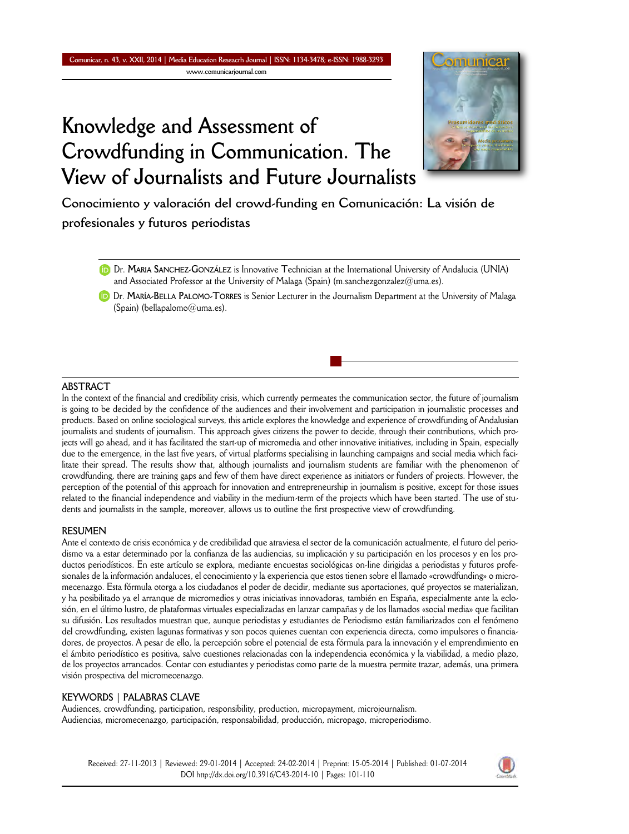

**Conocimiento y valoración del crowd-funding en Comunicación: La visión de profesionales y futuros periodistas**

Dr. **MARIA SANCHEZ-GONZÁLEZ** is Innovative Technician at the International University of Andalucia (UNIA) and Associated Professor at the University of Malaga (Spain) (m.sanchezgonzalez@uma.es).

Dr. **MARÍA-BELLA PALOMO-TORRES** is Senior Lecturer in the Journalism Department at the University of Malaga (Spain) (bellapalomo@uma.es).

### **ABSTRACT**

In the context of the financial and credibility crisis, which currently permeates the communication sector, the future of journalism is going to be decided by the confidence of the audiences and their involvement and participation in journalistic processes and products. Based on online sociological surveys, this article explores the knowledge and experience of crowdfunding of Andalusian journalists and students of journalism. This approach gives citizens the power to decide, through their contributions, which projects will go ahead, and it has facilitated the start-up of micromedia and other innovative initiatives, including in Spain, especially due to the emergence, in the last five years, of virtual platforms specialising in launching campaigns and social media which facilitate their spread. The results show that, although journalists and journalism students are familiar with the phenomenon of crowdfunding, there are training gaps and few of them have direct experience as initiators or funders of projects. However, the perception of the potential of this approach for innovation and entrepreneurship in journalism is positive, except for those issues related to the financial independence and viability in the medium-term of the projects which have been started. The use of students and journalists in the sample, moreover, allows us to outline the first prospective view of crowdfunding.

### **RESUMEN**

Ante el contexto de crisis económica y de credibilidad que atraviesa el sector de la comunicación actualmente, el futuro del periodismo va a estar determinado por la confianza de las audiencias, su implicación y su participación en los procesos y en los productos periodísticos. En este artículo se explora, mediante encuestas sociológicas on-line dirigidas a periodistas y futuros profesionales de la información andaluces, el conocimiento y la experiencia que estos tienen sobre el llamado «crowdfunding» o micromecenazgo. Esta fórmula otorga a los ciudadanos el poder de decidir, mediante sus aportaciones, qué proyectos se materializan, y ha posibilitado ya el arranque de micromedios y otras iniciativas innovadoras, también en España, especialmente ante la eclosión, en el último lustro, de plataformas virtuales especializadas en lanzar campañas y de los llamados «social media» que facilitan su difusión. Los resultados muestran que, aunque periodistas y estudiantes de Periodismo están familiarizados con el fenómeno del crowdfunding, existen lagunas formativas y son pocos quienes cuentan con experiencia directa, como impulsores o financiadores, de proyectos. A pesar de ello, la percepción sobre el potencial de esta fórmula para la innovación y el emprendimiento en el ámbito periodístico es positiva, salvo cuestiones relacionadas con la independencia económica y la viabilidad, a medio plazo, de los proyectos arrancados. Contar con estudiantes y periodistas como parte de la muestra permite trazar, además, una primera visión prospectiva del micromecenazgo.

### **KEYWORDS | PALABRAS CLAVE**

Audiences, crowdfunding, participation, responsibility, production, micropayment, microjournalism. Audiencias, micromecenazgo, participación, responsabilidad, producción, micropago, microperiodismo.

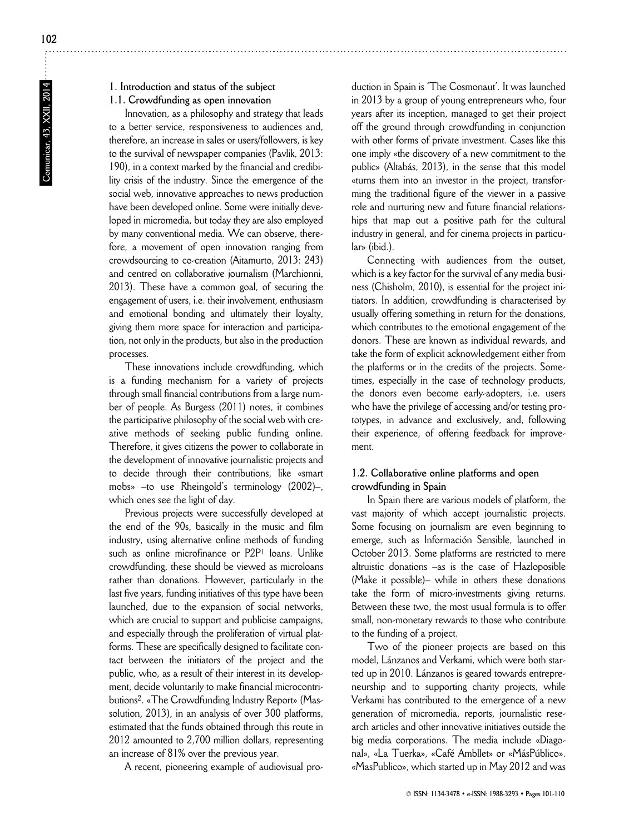Comunicar, 43, XXII, 2014 **Comunicar, 43, XXII, 2014**

# **1.1. Crowdfunding as open innovation**

Innovation, as a philosophy and strategy that leads to a better service, responsiveness to audiences and, therefore, an increase in sales or users/followers, is key to the survival of newspaper companies (Pavlik, 2013: 190), in a context marked by the financial and credibility crisis of the industry. Since the emergence of the social web, innovative approaches to news production have been developed online. Some were initially developed in micromedia, but today they are also employed by many conventional media. We can observe, therefore, a movement of open innovation ranging from crowdsourcing to co-creation (Aitamurto, 2013: 243) and centred on collaborative journalism (Marchionni, 2013). These have a common goal, of securing the engagement of users, i.e. their involvement, enthusiasm and emotional bonding and ultimately their loyalty, giving them more space for interaction and participation, not only in the products, but also in the production processes.

These innovations include crowdfunding, which is a funding mechanism for a variety of projects through small financial contributions from a large number of people. As Burgess (2011) notes, it combines the participative philosophy of the social web with creative methods of seeking public funding online. Therefore, it gives citizens the power to collaborate in the development of innovative journalistic projects and to decide through their contributions, like «smart mobs» –to use Rheingold's terminology (2002)–, which ones see the light of day.

Previous projects were successfully developed at the end of the 90s, basically in the music and film industry, using alternative online methods of funding such as online microfinance or P2P<sup>1</sup> loans. Unlike crowdfunding, these should be viewed as microloans rather than donations. However, particularly in the last five years, funding initiatives of this type have been launched, due to the expansion of social networks, which are crucial to support and publicise campaigns, and especially through the proliferation of virtual platforms. These are specifically designed to facilitate contact between the initiators of the project and the public, who, as a result of their interest in its development, decide voluntarily to make financial microcontributions<sup>2</sup>. «The Crowdfunding Industry Report» (Massolution, 2013), in an analysis of over 300 platforms, estimated that the funds obtained through this route in 2012 amounted to 2,700 million dollars, representing an increase of 81% over the previous year.

A recent, pioneering example of audiovisual pro-

duction in Spain is 'The Cosmonaut'. It was launched in 2013 by a group of young entrepreneurs who, four years after its inception, managed to get their project off the ground through crowdfunding in conjunction with other forms of private investment. Cases like this one imply «the discovery of a new commitment to the public» (Altabás, 2013), in the sense that this model «turns them into an investor in the project, transforming the traditional figure of the viewer in a passive role and nurturing new and future financial relationships that map out a positive path for the cultural industry in general, and for cinema projects in particular» (ibid.).

Connecting with audiences from the outset, which is a key factor for the survival of any media business (Chisholm, 2010), is essential for the project initiators. In addition, crowdfunding is characterised by usually offering something in return for the donations, which contributes to the emotional engagement of the donors. These are known as individual rewards, and take the form of explicit acknowledgement either from the platforms or in the credits of the projects. Sometimes, especially in the case of technology products, the donors even become early-adopters, i.e. users who have the privilege of accessing and/or testing prototypes, in advance and exclusively, and, following their experience, of offering feedback for improvement.

## **1.2. Collaborative online platforms and open crowdfunding in Spain**

In Spain there are various models of platform, the vast majority of which accept journalistic projects. Some focusing on journalism are even beginning to emerge, such as Información Sensible, launched in October 2013. Some platforms are restricted to mere altruistic donations –as is the case of Hazloposible (Make it possible)– while in others these donations take the form of micro-investments giving returns. Between these two, the most usual formula is to offer small, non-monetary rewards to those who contribute to the funding of a project.

Two of the pioneer projects are based on this model, Lánzanos and Verkami, which were both started up in 2010. Lánzanos is geared towards entrepreneurship and to supporting charity projects, while Verkami has contributed to the emergence of a new generation of micromedia, reports, journalistic research articles and other innovative initiatives outside the big media corporations. The media include «Diagonal», «La Tuerka», «Café Ambllet» or «MásPúblico». «MasPublico», which started up in May 2012 and was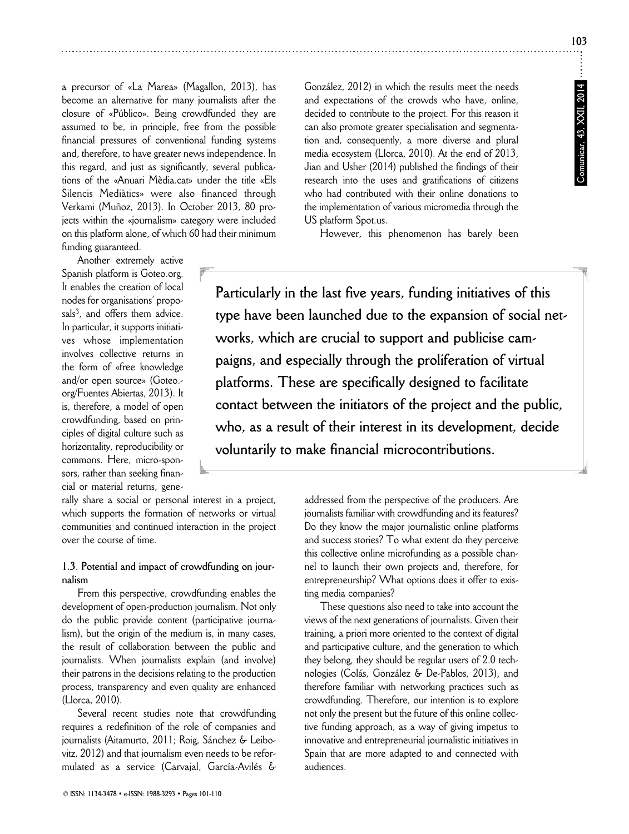**Comunicar, 43, XXII, 2014**

Comunicar, 43, XXII, 2014

a precursor of «La Marea» (Magallon, 2013), has become an alternative for many journalists after the closure of «Público». Being crowdfunded they are assumed to be, in principle, free from the possible financial pressures of conventional funding systems and, therefore, to have greater news independence. In this regard, and just as significantly, several publications of the «Anuari Mèdia.cat» under the title «Els Silencis Mediàtics» were also financed through Verkami (Muñoz, 2013). In October 2013, 80 projects within the «journalism» category were included on this platform alone, of which 60 had their minimum funding guaranteed.

Another extremely active Spanish platform is Goteo.org. It enables the creation of local nodes for organisations' proposals<sup>3</sup>, and offers them advice. In particular, it supports initiatives whose implementation involves collective returns in the form of «free knowledge and/or open source» (Goteo.org/Fuentes Abiertas, 2013). It is, therefore, a model of open crowdfunding, based on principles of digital culture such as horizontality, reproducibility or commons. Here, micro-sponsors, rather than seeking financial or material returns, geneGonzález, 2012) in which the results meet the needs and expectations of the crowds who have, online, decided to contribute to the project. For this reason it can also promote greater specialisation and segmentation and, consequently, a more diverse and plural media ecosystem (Llorca, 2010). At the end of 2013, Jian and Usher (2014) published the findings of their research into the uses and gratifications of citizens who had contributed with their online donations to the implementation of various micromedia through the US platform Spot.us.

However, this phenomenon has barely been

**Particularly in the last five years, funding initiatives of this type have been launched due to the expansion of social networks, which are crucial to support and publicise campaigns, and especially through the proliferation of virtual platforms. These are specifically designed to facilitate contact between the initiators of the project and the public, who, as a result of their interest in its development, decide voluntarily to make financial microcontributions.**

rally share a social or personal interest in a project, which supports the formation of networks or virtual communities and continued interaction in the project over the course of time.

# **1.3. Potential and impact of crowdfunding on journalism**

From this perspective, crowdfunding enables the development of open-production journalism. Not only do the public provide content (participative journalism), but the origin of the medium is, in many cases, the result of collaboration between the public and journalists. When journalists explain (and involve) their patrons in the decisions relating to the production process, transparency and even quality are enhanced (Llorca, 2010).

Several recent studies note that crowdfunding requires a redefinition of the role of companies and journalists (Aitamurto, 2011; Roig, Sánchez & Leibovitz, 2012) and that journalism even needs to be reformulated as a service (Carvajal, García-Avilés & addressed from the perspective of the producers. Are journalists familiar with crowdfunding and its features? Do they know the major journalistic online platforms and success stories? To what extent do they perceive this collective online microfunding as a possible channel to launch their own projects and, therefore, for entrepreneurship? What options does it offer to existing media companies?

These questions also need to take into account the views of the next generations of journalists. Given their training, a priori more oriented to the context of digital and participative culture, and the generation to which they belong, they should be regular users of 2.0 technologies (Colás, González & De-Pablos, 2013), and therefore familiar with networking practices such as crowdfunding. Therefore, our intention is to explore not only the present but the future of this online collective funding approach, as a way of giving impetus to innovative and entrepreneurial journalistic initiatives in Spain that are more adapted to and connected with audiences.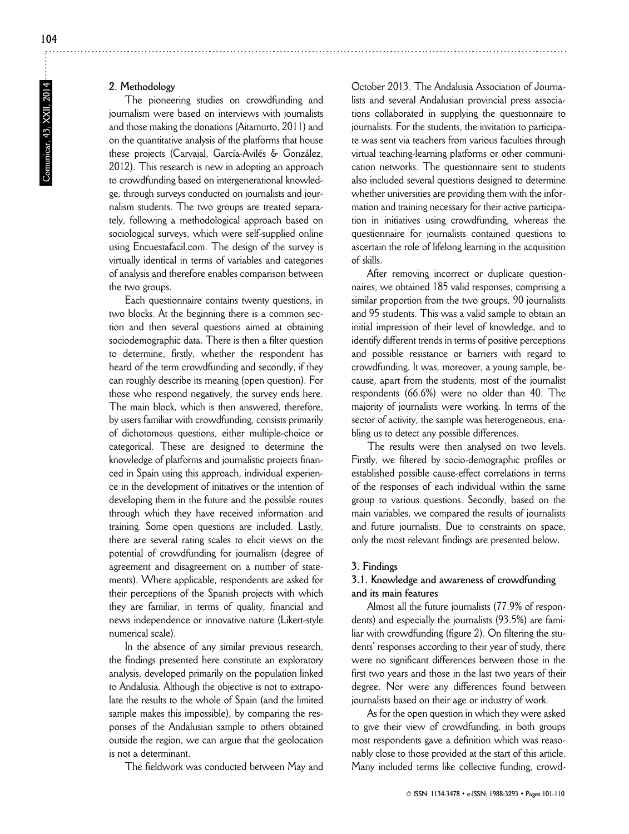# **2. Methodology**

The pioneering studies on crowdfunding and journalism were based on interviews with journalists and those making the donations (Aitamurto, 2011) and on the quantitative analysis of the platforms that house these projects (Carvajal, García-Avilés & González, 2012). This research is new in adopting an approach to crowdfunding based on intergenerational knowledge, through surveys conducted on journalists and journalism students. The two groups are treated separately, following a methodological approach based on sociological surveys, which were self-supplied online using Encuestafacil.com. The design of the survey is virtually identical in terms of variables and categories of analysis and therefore enables comparison between the two groups.

Each questionnaire contains twenty questions, in two blocks. At the beginning there is a common section and then several questions aimed at obtaining sociodemographic data. There is then a filter question to determine, firstly, whether the respondent has heard of the term crowdfunding and secondly, if they can roughly describe its meaning (open question). For those who respond negatively, the survey ends here. The main block, which is then answered, therefore, by users familiar with crowdfunding, consists primarily of dichotomous questions, either multiple-choice or categorical. These are designed to determine the knowledge of platforms and journalistic projects financed in Spain using this approach, individual experience in the development of initiatives or the intention of developing them in the future and the possible routes through which they have received information and training. Some open questions are included. Lastly, there are several rating scales to elicit views on the potential of crowdfunding for journalism (degree of agreement and disagreement on a number of statements). Where applicable, respondents are asked for their perceptions of the Spanish projects with which they are familiar, in terms of quality, financial and news independence or innovative nature (Likert-style numerical scale).

In the absence of any similar previous research, the findings presented here constitute an exploratory analysis, developed primarily on the population linked to Andalusia. Although the objective is not to extrapolate the results to the whole of Spain (and the limited sample makes this impossible), by comparing the responses of the Andalusian sample to others obtained outside the region, we can argue that the geolocation is not a determinant.

The fieldwork was conducted between May and

October 2013. The Andalusia Association of Journalists and several Andalusian provincial press associations collaborated in supplying the questionnaire to journalists. For the students, the invitation to participate was sent via teachers from various faculties through virtual teaching-learning platforms or other communication networks. The questionnaire sent to students also included several questions designed to determine whether universities are providing them with the information and training necessary for their active participation in initiatives using crowdfunding, whereas the questionnaire for journalists contained questions to ascertain the role of lifelong learning in the acquisition of skills.

After removing incorrect or duplicate questionnaires, we obtained 185 valid responses, comprising a similar proportion from the two groups, 90 journalists and 95 students. This was a valid sample to obtain an initial impression of their level of knowledge, and to identify different trends in terms of positive perceptions and possible resistance or barriers with regard to crowdfunding. It was, moreover, a young sample, be cause, apart from the students, most of the journalist respondents (66.6%) were no older than 40. The majority of journalists were working. In terms of the sector of activity, the sample was heterogeneous, enabling us to detect any possible differences.

The results were then analysed on two levels. Firstly, we filtered by socio-demographic profiles or established possible cause-effect correlations in terms of the responses of each individual within the same group to various questions. Secondly, based on the main variables, we compared the results of journalists and future journalists. Due to constraints on space, only the most relevant findings are presented below.

#### **3. Findings**

# **3.1. Knowledge and awareness of crowdfunding and its main features**

Almost all the future journalists (77.9% of respondents) and especially the journalists (93.5%) are familiar with crowdfunding (figure 2). On filtering the students' responses according to their year of study, there were no significant differences between those in the first two years and those in the last two years of their degree. Nor were any differences found between journalists based on their age or industry of work.

As for the open question in which they were asked to give their view of crowdfunding, in both groups most respondents gave a definition which was reasonably close to those provided at the start of this article. Many included terms like collective funding, crowd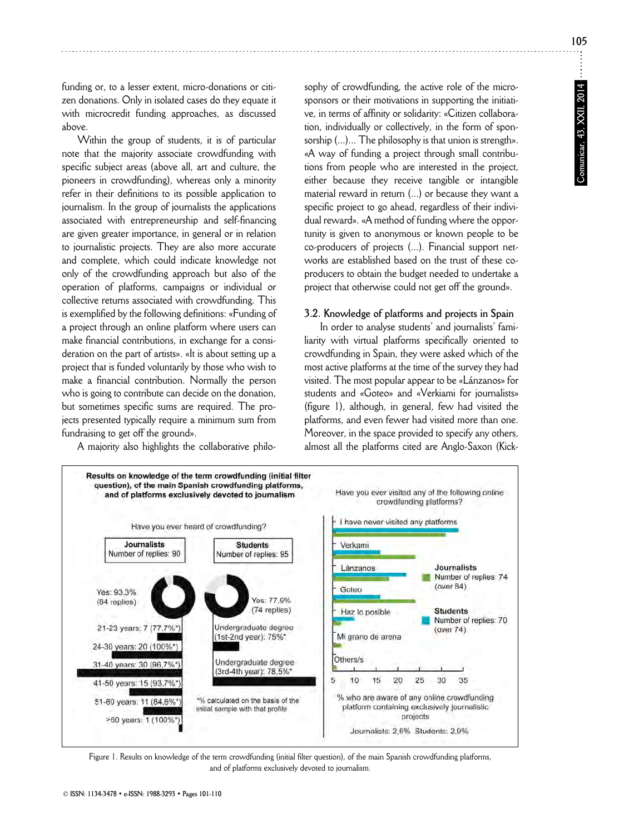funding or, to a lesser extent, micro-donations or citizen donations. Only in isolated cases do they equate it with microcredit funding approaches, as discussed above.

Within the group of students, it is of particular note that the majority associate crowdfunding with specific subject areas (above all, art and culture, the pioneers in crowdfunding), whereas only a minority refer in their definitions to its possible application to journalism. In the group of journalists the applications associated with entrepreneurship and self-financing are given greater importance, in general or in relation to journalistic projects. They are also more accurate and complete, which could indicate knowledge not only of the crowdfunding approach but also of the operation of platforms, campaigns or individual or collective returns associated with crowdfunding. This is exemplified by the following definitions: «Funding of a project through an online platform where users can make financial contributions, in exchange for a consideration on the part of artists». «It is about setting up a project that is funded voluntarily by those who wish to make a financial contribution. Normally the person who is going to contribute can decide on the donation, but sometimes specific sums are required. The projects presented typically require a minimum sum from fundraising to get off the ground».

A majority also highlights the collaborative philo-

sophy of crowdfunding, the active role of the microsponsors or their motivations in supporting the initiative, in terms of affinity or solidarity: «Citizen collaboration, individually or collectively, in the form of sponsorship (...)... The philosophy is that union is strength». «A way of funding a project through small contributions from people who are interested in the project, either because they receive tangible or intangible material reward in return (...) or because they want a specific project to go ahead, regardless of their individual reward». «A method of funding where the opportunity is given to anonymous or known people to be co-producers of projects (...). Financial support networks are established based on the trust of these coproducers to obtain the budget needed to undertake a project that otherwise could not get off the ground».

### **3.2. Knowledge of platforms and projects in Spain**

In order to analyse students' and journalists' familiarity with virtual platforms specifically oriented to crowdfunding in Spain, they were asked which of the most active platforms at the time of the survey they had visited. The most popular appear to be «Lánzanos» for students and «Goteo» and «Verkiami for journalists» (figure 1), although, in general, few had visited the platforms, and even fewer had visited more than one. Moreover, in the space provided to specify any others, almost all the platforms cited are Anglo-Saxon (Kick-



Figure 1. Results on knowledge of the term crowdfunding (initial filter question), of the main Spanish crowdfunding platforms, and of platforms exclusively devoted to journalism.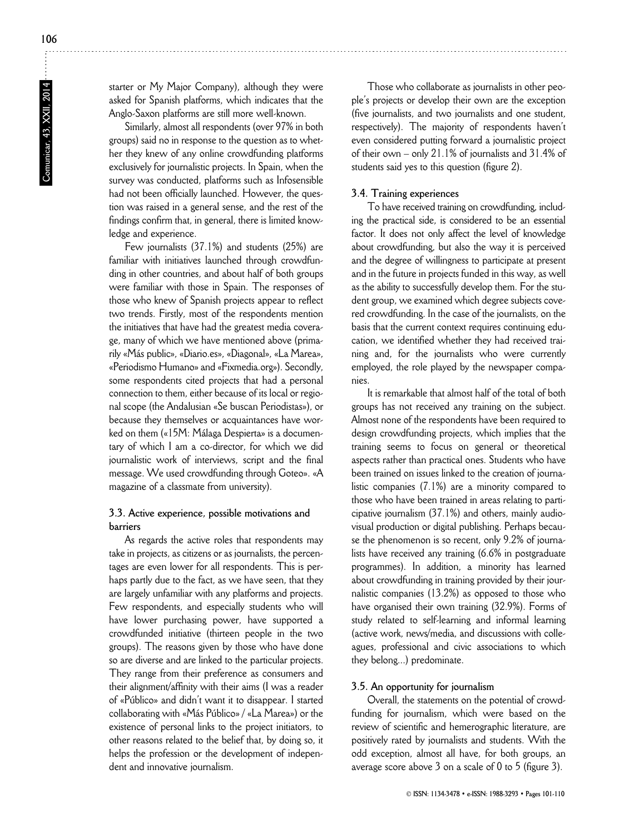starter or My Major Company), although they were asked for Spanish platforms, which indicates that the Anglo-Saxon platforms are still more well-known.

Similarly, almost all respondents (over 97% in both groups) said no in response to the question as to whether they knew of any online crowdfunding platforms exclusively for journalistic projects. In Spain, when the survey was conducted, platforms such as Infosensible had not been officially launched. However, the question was raised in a general sense, and the rest of the findings confirm that, in general, there is limited knowledge and experience.

Few journalists (37.1%) and students (25%) are familiar with initiatives launched through crowdfunding in other countries, and about half of both groups were familiar with those in Spain. The responses of those who knew of Spanish projects appear to reflect two trends. Firstly, most of the respondents mention the initiatives that have had the greatest media coverage, many of which we have mentioned above (primarily «Más public», «Diario.es», «Diagonal», «La Marea», «Periodismo Humano» and «Fixmedia.org»). Secondly, some respondents cited projects that had a personal connection to them, either because of its local or regional scope (the Andalusian «Se buscan Periodistas»), or because they themselves or acquaintances have worked on them («15M: Málaga Despierta» is a documentary of which I am a co-director, for which we did journalistic work of interviews, script and the final message. We used crowdfunding through Goteo». «A magazine of a classmate from university).

### **3.3. Active experience, possible motivations and barriers**

As regards the active roles that respondents may take in projects, as citizens or as journalists, the percentages are even lower for all respondents. This is perhaps partly due to the fact, as we have seen, that they are largely unfamiliar with any platforms and projects. Few respondents, and especially students who will have lower purchasing power, have supported a crowdfunded initiative (thirteen people in the two groups). The reasons given by those who have done so are diverse and are linked to the particular projects. They range from their preference as consumers and their alignment/affinity with their aims (I was a reader of «Público» and didn't want it to disappear. I started collaborating with «Más Público» / «La Marea») or the existence of personal links to the project initiators, to other reasons related to the belief that, by doing so, it helps the profession or the development of independent and innovative journalism.

Those who collaborate as journalists in other people's projects or develop their own are the exception (five journalists, and two journalists and one student, respectively). The majority of respondents haven't even considered putting forward a journalistic project of their own – only 21.1% of journalists and 31.4% of students said yes to this question (figure 2).

### **3.4. Training experiences**

To have received training on crowdfunding, including the practical side, is considered to be an essential factor. It does not only affect the level of knowledge about crowdfunding, but also the way it is perceived and the degree of willingness to participate at present and in the future in projects funded in this way, as well as the ability to successfully develop them. For the student group, we examined which degree subjects covered crowdfunding. In the case of the journalists, on the basis that the current context requires continuing education, we identified whether they had received training and, for the journalists who were currently employed, the role played by the newspaper companies.

It is remarkable that almost half of the total of both groups has not received any training on the subject. Almost none of the respondents have been required to design crowdfunding projects, which implies that the training seems to focus on general or theoretical aspects rather than practical ones. Students who have been trained on issues linked to the creation of journalistic companies (7.1%) are a minority compared to those who have been trained in areas relating to participative journalism (37.1%) and others, mainly audiovisual production or digital publishing. Perhaps because the phenomenon is so recent, only 9.2% of journalists have received any training (6.6% in postgraduate programmes). In addition, a minority has learned about crowdfunding in training provided by their journalistic companies (13.2%) as opposed to those who have organised their own training (32.9%). Forms of study related to self-learning and informal learning (active work, news/media, and discussions with colleagues, professional and civic associations to which they belong...) predominate.

#### **3.5. An opportunity for journalism**

Overall, the statements on the potential of crowdfunding for journalism, which were based on the review of scientific and hemerographic literature, are positively rated by journalists and students. With the odd exception, almost all have, for both groups, an average score above 3 on a scale of 0 to 5 (figure 3).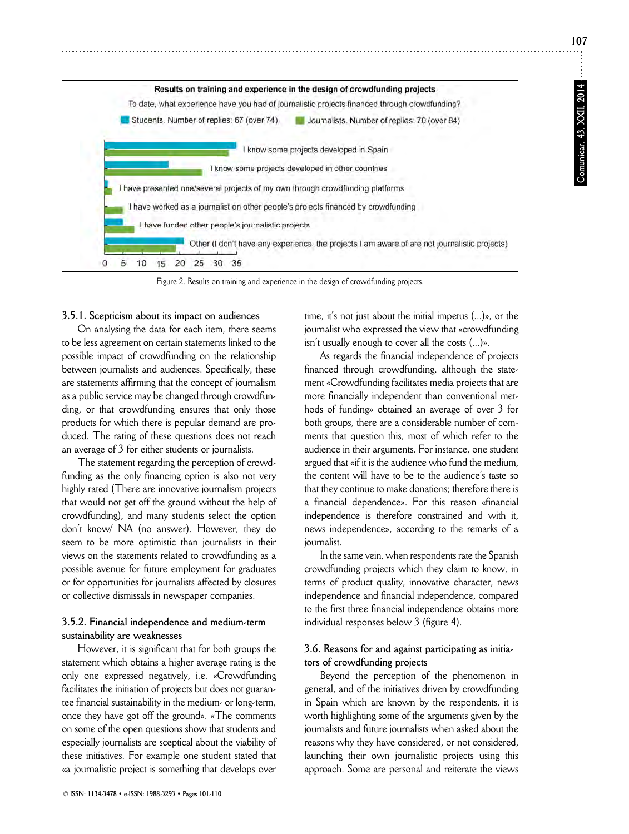**107**



Figure 2. Results on training and experience in the design of crowdfunding projects.

### **3.5.1. Scepticism about its impact on audiences**

On analysing the data for each item, there seems to be less agreement on certain statements linked to the possible impact of crowdfunding on the relationship between journalists and audiences. Specifically, these are statements affirming that the concept of journalism as a public service may be changed through crowdfunding, or that crowdfunding ensures that only those products for which there is popular demand are produced. The rating of these questions does not reach an average of 3 for either students or journalists.

The statement regarding the perception of crowdfunding as the only financing option is also not very highly rated (There are innovative journalism projects that would not get off the ground without the help of crowdfunding), and many students select the option don't know/ NA (no answer). However, they do seem to be more optimistic than journalists in their views on the statements related to crowdfunding as a possible avenue for future employment for graduates or for opportunities for journalists affected by closures or collective dismissals in newspaper companies.

# **3.5.2. Financial independence and medium-term sustainability are weaknesses**

However, it is significant that for both groups the statement which obtains a higher average rating is the only one expressed negatively, i.e. «Crowdfunding facilitates the initiation of projects but does not guarantee financial sustainability in the medium- or long-term, once they have got off the ground». «The comments on some of the open questions show that students and especially journalists are sceptical about the viability of these initiatives. For example one student stated that «a journalistic project is something that develops over

© **ISSN: 1134-3478 • e-ISSN: 1988-3293 • Pages 101-110**

time, it's not just about the initial impetus (...)», or the journalist who expressed the view that «crowdfunding isn't usually enough to cover all the costs (...)».

As regards the financial independence of projects financed through crowdfunding, although the statement «Crowdfunding facilitates media projects that are more financially independent than conventional methods of funding» obtained an average of over 3 for both groups, there are a considerable number of comments that question this, most of which refer to the audience in their arguments. For instance, one student argued that «if it is the audience who fund the medium, the content will have to be to the audience's taste so that they continue to make donations; therefore there is a financial dependence». For this reason «financial independence is therefore constrained and with it, news independence», according to the remarks of a journalist.

In the same vein, when respondents rate the Spanish crowdfunding projects which they claim to know, in terms of product quality, innovative character, news independence and financial independence, compared to the first three financial independence obtains more individual responses below 3 (figure 4).

## **3.6. Reasons for and against participating as initiators of crowdfunding projects**

Beyond the perception of the phenomenon in general, and of the initiatives driven by crowdfunding in Spain which are known by the respondents, it is worth highlighting some of the arguments given by the journalists and future journalists when asked about the reasons why they have considered, or not considered, launching their own journalistic projects using this approach. Some are personal and reiterate the views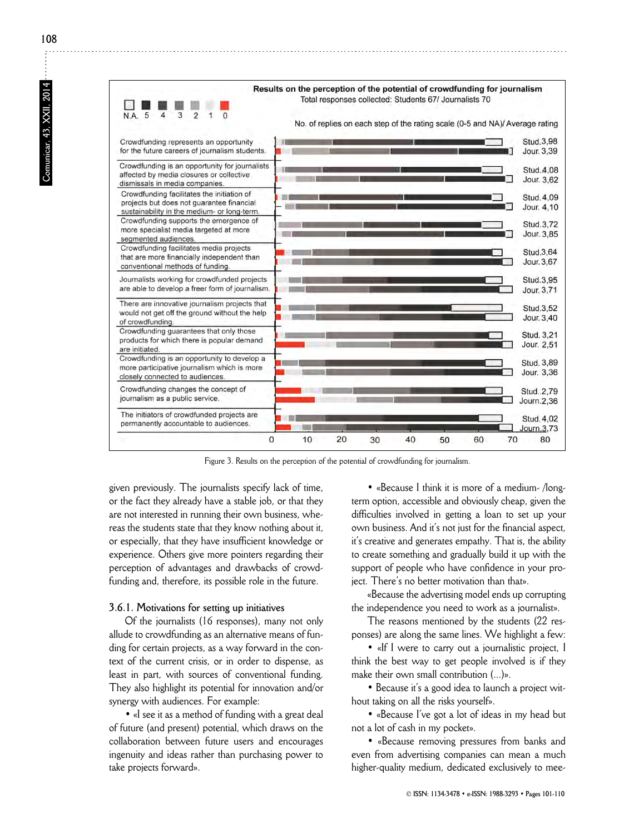

Figure 3. Results on the perception of the potential of crowdfunding for journalism.

given previously. The journalists specify lack of time, or the fact they already have a stable job, or that they are not interested in running their own business, whereas the students state that they know nothing about it, or especially, that they have insufficient knowledge or experience. Others give more pointers regarding their perception of advantages and drawbacks of crowdfunding and, therefore, its possible role in the future.

### **3.6.1. Motivations for setting up initiatives**

Of the journalists (16 responses), many not only allude to crowdfunding as an alternative means of funding for certain projects, as a way forward in the context of the current crisis, or in order to dispense, as least in part, with sources of conventional funding. They also highlight its potential for innovation and/or synergy with audiences. For example:

• «I see it as a method of funding with a great deal of future (and present) potential, which draws on the collaboration between future users and encourages ingenuity and ideas rather than purchasing power to take projects forward».

• «Because I think it is more of a medium-/longterm option, accessible and obviously cheap, given the difficulties involved in getting a loan to set up your own business. And it's not just for the financial aspect, it's creative and generates empathy. That is, the ability to create something and gradually build it up with the support of people who have confidence in your project. There's no better motivation than that».

«Because the advertising model ends up corrupting the independence you need to work as a journalist».

The reasons mentioned by the students (22 responses) are along the same lines. We highlight a few:

• «If I were to carry out a journalistic project, I think the best way to get people involved is if they make their own small contribution (...)».

• Because it's a good idea to launch a project without taking on all the risks yourself».

• «Because I've got a lot of ideas in my head but not a lot of cash in my pocket».

• «Because removing pressures from banks and even from advertising companies can mean a much higher-quality medium, dedicated exclusively to mee-

**108**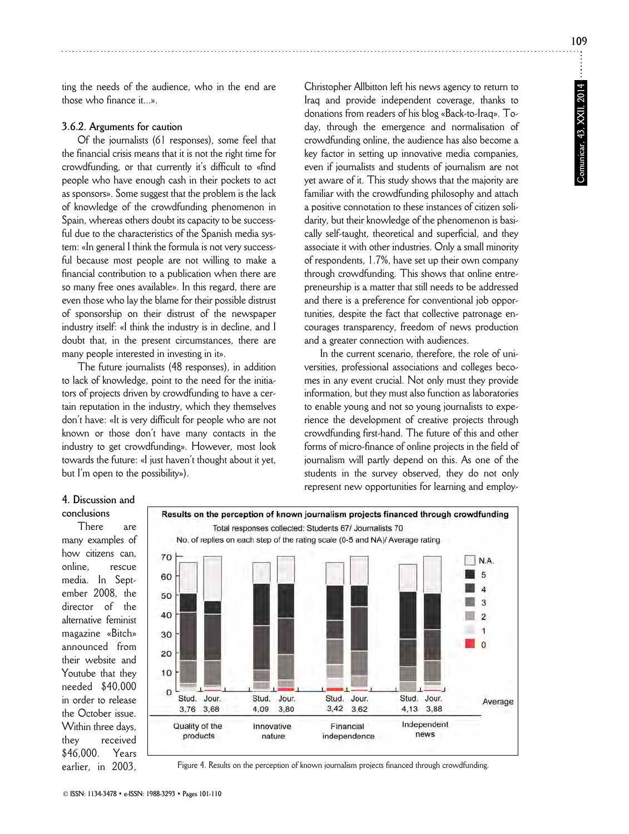**109**

ting the needs of the audience, who in the end are those who finance it...».

# **3.6.2. Arguments for caution**

Of the journalists (61 responses), some feel that the financial crisis means that it is not the right time for crowdfunding, or that currently it's difficult to «find people who have enough cash in their pockets to act as sponsors». Some suggest that the problem is the lack of knowledge of the crowdfunding phenomenon in Spain, whereas others doubt its capacity to be successful due to the characteristics of the Spanish media system: «In general I think the formula is not very successful because most people are not willing to make a financial contribution to a publication when there are so many free ones available». In this regard, there are even those who lay the blame for their possible distrust of sponsorship on their distrust of the newspaper industry itself: «I think the industry is in decline, and I doubt that, in the present circumstances, there are many people interested in investing in it».

The future journalists (48 responses), in addition to lack of knowledge, point to the need for the initiators of projects driven by crowdfunding to have a certain reputation in the industry, which they themselves don't have: «It is very difficult for people who are not known or those don't have many contacts in the industry to get crowdfunding». However, most look towards the future: «I just haven't thought about it yet, but I'm open to the possibility»).

Christopher Allbitton left his news agency to return to Iraq and provide independent coverage, thanks to donations from readers of his blog «Back-to-Iraq». To day, through the emergence and normalisation of crowdfunding online, the audience has also become a key factor in setting up innovative media companies, even if journalists and students of journalism are not yet aware of it. This study shows that the majority are familiar with the crowdfunding philosophy and attach a positive connotation to these instances of citizen solidarity, but their knowledge of the phenomenon is basically self-taught, theoretical and superficial, and they associate it with other industries. Only a small minority of respondents, 1.7%, have set up their own company through crowdfunding. This shows that online entrepreneurship is a matter that still needs to be addressed and there is a preference for conventional job opportunities, despite the fact that collective patronage encourages transparency, freedom of news production and a greater connection with audiences.

In the current scenario, therefore, the role of universities, professional associations and colleges becomes in any event crucial. Not only must they provide information, but they must also function as laboratories to enable young and not so young journalists to experience the development of creative projects through crowdfunding first-hand. The future of this and other forms of micro-finance of online projects in the field of journalism will partly depend on this. As one of the students in the survey observed, they do not only represent new opportunities for learning and employ-

## **4. Discussion and conclusions**

There are many examples of how citizens can, online, rescue media. In September 2008, the director of the alternative feminist magazine «Bitch» announced from their website and Youtube that they needed \$40,000 in order to release the October issue. Within three days, they received \$46,000. Years earlier, in 2003,



Figure 4. Results on the perception of known journalism projects financed through crowdfunding.